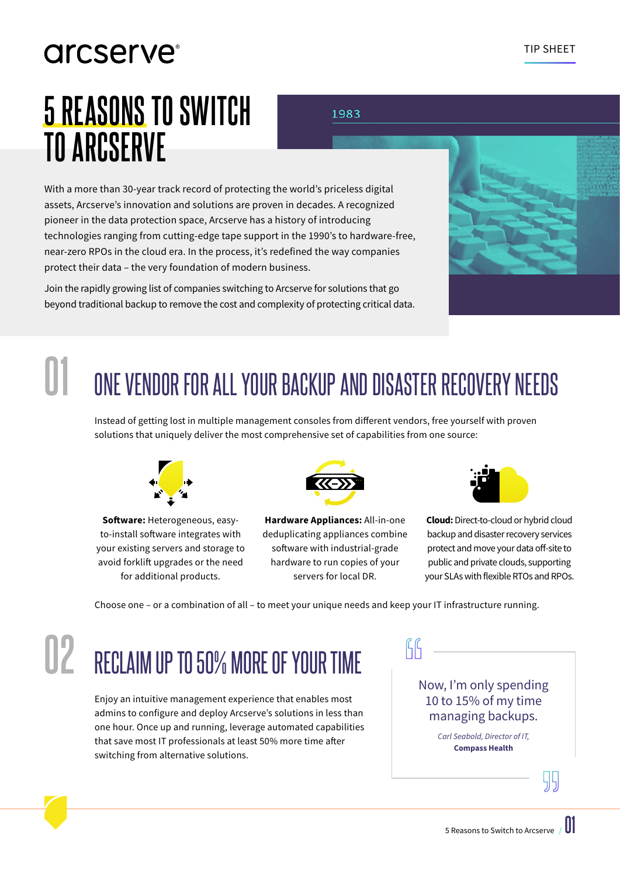# arcserve<sup>®</sup>

# **5 REASONS TO SWITCH TO ARCSERVE**

1983

With a more than 30-year track record of protecting the world's priceless digital assets, Arcserve's innovation and solutions are proven in decades. A recognized pioneer in the data protection space, Arcserve has a history of introducing technologies ranging from cutting-edge tape support in the 1990's to hardware-free, near-zero RPOs in the cloud era. In the process, it's redefined the way companies protect their data – the very foundation of modern business.

Join the rapidly growing list of companies switching to Arcserve for solutions that go beyond traditional backup to remove the cost and complexity of protecting critical data.



## ONE VENDOR FOR ALL YOUR BACKUP AND DISASTER RECOVERY NEEDS **01**

Instead of getting lost in multiple management consoles from different vendors, free yourself with proven solutions that uniquely deliver the most comprehensive set of capabilities from one source:



**Software:** Heterogeneous, easyto-install software integrates with your existing servers and storage to avoid forklift upgrades or the need for additional products.



**Hardware Appliances:** All-in-one deduplicating appliances combine software with industrial-grade hardware to run copies of your servers for local DR.



**Cloud:** Direct-to-cloud or hybrid cloud backup and disaster recovery services protect and move your data off-site to public and private clouds, supporting your SLAs with flexible RTOs and RPOs.

Choose one – or a combination of all – to meet your unique needs and keep your IT infrastructure running.

#### RECLAIM UP TO 50% MORE OF YOUR TIME **02**

Enjoy an intuitive management experience that enables most admins to configure and deploy Arcserve's solutions in less than one hour. Once up and running, leverage automated capabilities that save most IT professionals at least 50% more time after switching from alternative solutions.

Now, I'm only spending 10 to 15% of my time managing backups.

> *Carl Seabold, Director of IT,* **Compass Health**